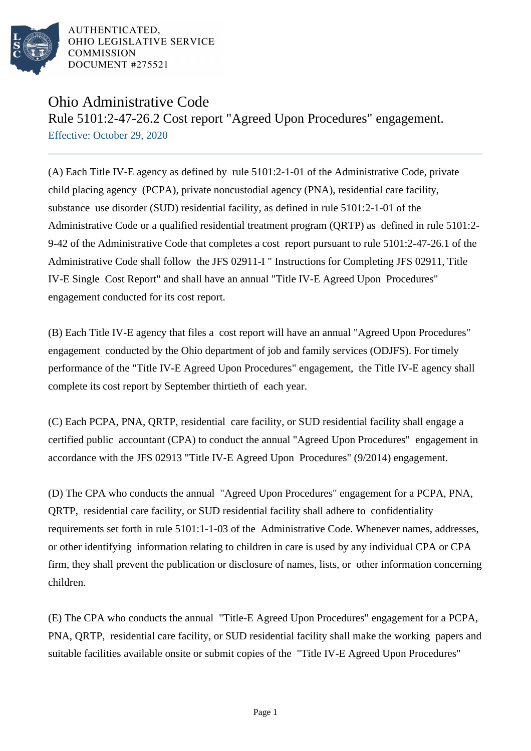

AUTHENTICATED. OHIO LEGISLATIVE SERVICE **COMMISSION** DOCUMENT #275521

## Ohio Administrative Code

Rule 5101:2-47-26.2 Cost report "Agreed Upon Procedures" engagement. Effective: October 29, 2020

(A) Each Title IV-E agency as defined by rule 5101:2-1-01 of the Administrative Code, private child placing agency (PCPA), private noncustodial agency (PNA), residential care facility, substance use disorder (SUD) residential facility, as defined in rule 5101:2-1-01 of the Administrative Code or a qualified residential treatment program (QRTP) as defined in rule 5101:2- 9-42 of the Administrative Code that completes a cost report pursuant to rule 5101:2-47-26.1 of the Administrative Code shall follow the JFS 02911-I " Instructions for Completing JFS 02911, Title IV-E Single Cost Report" and shall have an annual "Title IV-E Agreed Upon Procedures" engagement conducted for its cost report.

(B) Each Title IV-E agency that files a cost report will have an annual "Agreed Upon Procedures" engagement conducted by the Ohio department of job and family services (ODJFS). For timely performance of the "Title IV-E Agreed Upon Procedures" engagement, the Title IV-E agency shall complete its cost report by September thirtieth of each year.

(C) Each PCPA, PNA, QRTP, residential care facility, or SUD residential facility shall engage a certified public accountant (CPA) to conduct the annual "Agreed Upon Procedures" engagement in accordance with the JFS 02913 "Title IV-E Agreed Upon Procedures" (9/2014) engagement.

(D) The CPA who conducts the annual "Agreed Upon Procedures" engagement for a PCPA, PNA, QRTP, residential care facility, or SUD residential facility shall adhere to confidentiality requirements set forth in rule 5101:1-1-03 of the Administrative Code. Whenever names, addresses, or other identifying information relating to children in care is used by any individual CPA or CPA firm, they shall prevent the publication or disclosure of names, lists, or other information concerning children.

(E) The CPA who conducts the annual "Title-E Agreed Upon Procedures" engagement for a PCPA, PNA, QRTP, residential care facility, or SUD residential facility shall make the working papers and suitable facilities available onsite or submit copies of the "Title IV-E Agreed Upon Procedures"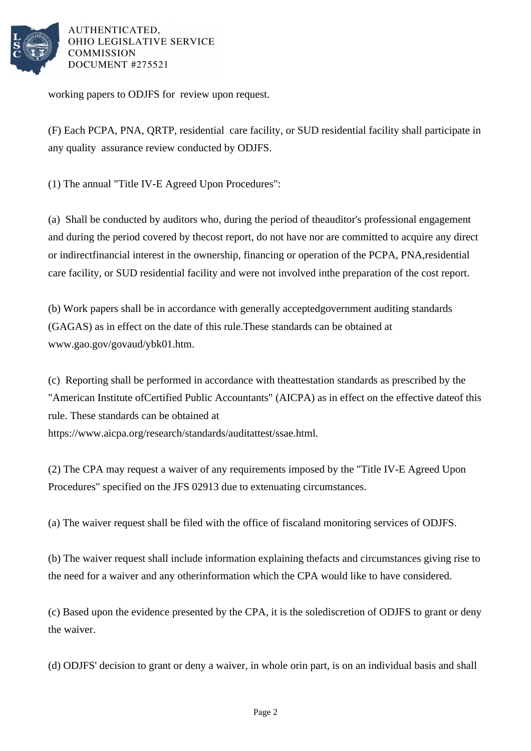

AUTHENTICATED. OHIO LEGISLATIVE SERVICE **COMMISSION** DOCUMENT #275521

working papers to ODJFS for review upon request.

(F) Each PCPA, PNA, QRTP, residential care facility, or SUD residential facility shall participate in any quality assurance review conducted by ODJFS.

(1) The annual "Title IV-E Agreed Upon Procedures":

(a) Shall be conducted by auditors who, during the period of the auditor's professional engagement and during the period covered by the cost report, do not have nor are committed to acquire any direct or indirect financial interest in the ownership, financing or operation of the PCPA, PNA, residential care facility, or SUD residential facility and were not involved in the preparation of the cost report.

(b) Work papers shall be in accordance with generally accepted government auditing standards (GAGAS) as in effect on the date of this rule. These standards can be obtained at www.gao.gov/govaud/ybk01.htm.

(c) Reporting shall be performed in accordance with the attestation standards as prescribed by the "American Institute of Certified Public Accountants" (AICPA) as in effect on the effective date of this rule. These standards can be obtained at https://www.aicpa.org/research/standards/auditattest/ssae.html.

(2) The CPA may request a waiver of any requirements imposed by the "Title IV-E Agreed Upon" Procedures" specified on the JFS 02913 due to extenuating circumstances.

(a) The waiver request shall be filed with the office of fiscal and monitoring services of ODJFS.

(b) The waiver request shall include information explaining the facts and circumstances giving rise to the need for a waiver and any other information which the CPA would like to have considered.

(c) Based upon the evidence presented by the CPA, it is the sole discretion of ODJFS to grant or deny the waiver.

(d) ODJFS' decision to grant or deny a waiver, in whole or in part, is on an individual basis and shall